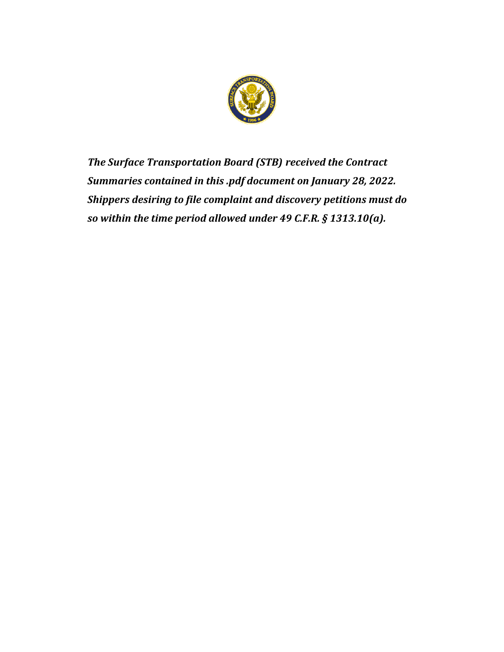

*The Surface Transportation Board (STB) received the Contract Summaries contained in this .pdf document on January 28, 2022. Shippers desiring to file complaint and discovery petitions must do so within the time period allowed under 49 C.F.R. § 1313.10(a).*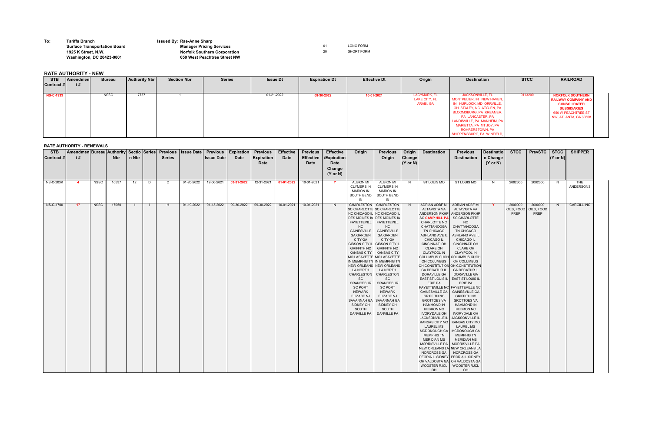**To: Tariffs Branch Issued By: Rae-Anne Sharp**

## **Surface Transportation Board Manager Pricing Services** 01 LONG FORM **1925 K Street, N.W. Norfolk Southern Corporation** 20 SHORT FORM **Washington, DC 20423-0001 650 West Peachtree Street NW**

## **RATE AUTHORITY - NEW**

## **RATE AUTHORITY - RENEWALS**

| <b>STB</b><br><b>Contract#</b> | <b>Amendmen Bureau Authority Sectio Series</b><br>t# |             | <b>Nbr</b> | n Nbr          |        | <b>Previous</b><br><b>Series</b> | <b>Issue Date</b> | <b>Previous</b><br><b>Issue Date</b> | <b>Expiration</b><br><b>Date</b> | <b>Previous</b><br><b>Expiration</b><br><b>Date</b> | <b>Effective</b><br><b>Date</b> | <b>Previous</b><br><b>Effective</b><br><b>Date</b> | <b>Effective</b><br>/Expiration<br><b>Date</b><br>Change | Origin                                                                                                                                                                                                                                                                                                                                                                                                                                                                                                                                        | <b>Previous</b><br>Origin                                                                                                                                                                                                                                                                                      | Origin<br><b>Change</b><br>$(Y \text{ or } N)$ | <b>Destination</b>                                                                                                                                                                                                                                                                                                                                                                                                                                                                                                                                                                                                                                                                                                                                                                                                                                                                                                                                                               | <b>Previous</b><br><b>Destination</b>                                                                                                                                                                                                                                                                                                                                                                                                                                                        | <b>Destinatio</b><br>n Change<br>$(Y \text{ or } N)$ | <b>STCC</b>                   | <b>PrevSTC</b>                | <b>STCC</b><br>$ (Y \text{ or } N) $ | <b>SHIPPER</b>     |
|--------------------------------|------------------------------------------------------|-------------|------------|----------------|--------|----------------------------------|-------------------|--------------------------------------|----------------------------------|-----------------------------------------------------|---------------------------------|----------------------------------------------------|----------------------------------------------------------|-----------------------------------------------------------------------------------------------------------------------------------------------------------------------------------------------------------------------------------------------------------------------------------------------------------------------------------------------------------------------------------------------------------------------------------------------------------------------------------------------------------------------------------------------|----------------------------------------------------------------------------------------------------------------------------------------------------------------------------------------------------------------------------------------------------------------------------------------------------------------|------------------------------------------------|----------------------------------------------------------------------------------------------------------------------------------------------------------------------------------------------------------------------------------------------------------------------------------------------------------------------------------------------------------------------------------------------------------------------------------------------------------------------------------------------------------------------------------------------------------------------------------------------------------------------------------------------------------------------------------------------------------------------------------------------------------------------------------------------------------------------------------------------------------------------------------------------------------------------------------------------------------------------------------|----------------------------------------------------------------------------------------------------------------------------------------------------------------------------------------------------------------------------------------------------------------------------------------------------------------------------------------------------------------------------------------------------------------------------------------------------------------------------------------------|------------------------------------------------------|-------------------------------|-------------------------------|--------------------------------------|--------------------|
| <b>NS-C-203K</b>               | $\overline{4}$                                       | NSSC        | 16537      | 12             | D      | $\mathbf C$                      | 01-20-2022        | 12-06-2021                           | 03-31-2022                       | 12-31-2021                                          | 01-01-2022                      | 10-01-2021                                         | $(Y \text{ or } N)$<br><b>Y</b>                          | <b>ALBION MI</b><br><b>CLYMERS IN</b><br><b>MARION IN</b><br>SOUTH BEND<br>IN                                                                                                                                                                                                                                                                                                                                                                                                                                                                 | <b>ALBION MI</b><br><b>CLYMERS IN</b><br><b>MARION IN</b><br>SOUTH BEND<br>IN                                                                                                                                                                                                                                  | N.                                             | ST LOUIS MO                                                                                                                                                                                                                                                                                                                                                                                                                                                                                                                                                                                                                                                                                                                                                                                                                                                                                                                                                                      | ST LOUIS MO                                                                                                                                                                                                                                                                                                                                                                                                                                                                                  | N.                                                   | 2082300                       | 2082300                       | N.                                   | THE<br>ANDERSONS   |
| NS-C-1700                      | 17                                                   | <b>NSSC</b> | 17050      | $\overline{1}$ | $\Box$ | H                                | 01-19-2022        | 01-13-2022                           | 09-30-2022                       | 09-30-2022                                          | 10-01-2021                      | 10-01-2021                                         | N                                                        | CHARLESTON   CHARLESTON<br>SC CHARLOTTE SC CHARLOTTE<br>NC CHICAGO IL NC CHICAGO II<br><b>DES MOINES IA DES MOINES IA</b><br>FAYETTEVILL<br>NC.<br><b>GAINESVILLE</b><br><b>GA GARDEN</b><br><b>CITY GA</b><br>GIBSON CITY IL GIBSON CITY<br><b>GRIFFITH NC</b><br><b>KANSAS CITY</b><br>MO LAFAYETTE MO LAFAYETTE<br>IN MEMPHIS TN IN MEMPHIS TN<br>NEW ORLEANS NEW ORLEANS<br><b>LA NORTH</b><br>CHARLESTON<br>SC.<br>ORANGEBUR<br><b>SC PORT</b><br><b>NEWARK</b><br><b>ELIZABE NJ</b><br>SAVANNAH GA<br>SIDNEY OH<br>SOUTH<br>DANVILLE PA | <b>FAYETTEVILL</b><br>NC<br><b>GAINESVILLE</b><br><b>GA GARDEN</b><br><b>CITY GA</b><br><b>GRIFFITH NC</b><br><b>KANSAS CITY</b><br><b>LA NORTH</b><br>CHARLESTON<br><b>SC</b><br>ORANGEBUR<br><b>SC PORT</b><br><b>NEWARK</b><br><b>ELIZABE NJ</b><br>SAVANNAH GA<br>SIDNEY OH<br>SOUTH<br><b>DANVILLE PA</b> | - N                                            | ADRIAN ADBF MI ADRIAN ADBF MI<br>ALTAVISTA VA<br>ANDERSON PKHP   ANDERSON PKHP<br><b>SC CAMP HILL PA</b><br>CHARLOTTE NC<br>CHATTANOOGA<br>TN CHICAGO<br>ASHLAND AVE IL<br><b>CHICAGO IL</b><br><b>CINCINNATI OH</b><br><b>CLARE OH</b><br><b>CLAYPOOL IN</b><br>COLUMBUS CUOH COLUMBUS CUOH<br>OH COLUMBUS<br>OH CONSTITUTION OH CONSTITUTION<br><b>GA DECATUR IL</b><br>DORAVILLE GA<br>EAST ST LOUIS IL   EAST ST LOUIS IL<br>ERIE PA<br><b>FAYETTEVILLE NC FAYETTEVILLE NC</b><br><b>GAINESVILLE GA</b><br><b>GRIFFITH NC</b><br><b>GROTTOES VA</b><br><b>HAMMOND IN</b><br><b>HEBRON NC</b><br><b>IVORYDALE OH</b><br>JACKSONVILLE IL<br>KANSAS CITY MO   KANSAS CITY MO<br><b>LAUREL MS</b><br>MCDONOUGH GA   MCDONOUGH GA<br>MEMPHIS TN<br><b>MERIDIAN MS</b><br>MORRISVILLE PA   MORRISVILLE PA<br>NEW ORLEANS LA NEW ORLEANS LA<br>NORCROSS GA   NORCROSS GA<br>PEORIA IL SIDNEY PEORIA IL SIDNEY<br>OH VALDOSTA GA OH VALDOSTA GA<br>WOOSTER RJCL   WOOSTER RJCL<br>OH | ALTAVISTA VA<br><b>SC CHARLOTTE</b><br>NC.<br><b>CHATTANOOGA</b><br>TN CHICAGO<br>ASHLAND AVE IL<br><b>CHICAGO IL</b><br><b>CINCINNATI OH</b><br><b>CLARE OH</b><br><b>CLAYPOOL IN</b><br>OH COLUMBUS<br><b>GA DECATUR IL</b><br>DORAVILLE GA<br><b>ERIE PA</b><br><b>GAINESVILLE GA</b><br><b>GRIFFITH NC</b><br><b>GROTTOES VA</b><br><b>HAMMOND IN</b><br><b>HEBRON NC</b><br><b>IVORYDALE OH</b><br>JACKSONVILLE IL<br><b>LAUREL MS</b><br><b>MEMPHIS TN</b><br><b>MERIDIAN MS</b><br>OH | <b>Y</b>                                             | 2000000<br>OILS, FOOD<br>PREP | 2000000<br>OILS, FOOD<br>PREP | N.                                   | <b>CARGILL INC</b> |

| <b>STB</b><br><b>Amendmen</b> | <b>Bureau</b> | <b>Authority Nbr</b> | <b>Section Nbr</b> | <b>Series</b> | <b>Issue Dt</b> | <b>Expiration Dt</b> | <b>Effective Dt</b> | Origin                                            | <b>Destination</b>                                                                                                                                                                                                                                                                   | <b>STCC</b> | <b>RAILROAD</b>                                                                                                                                    |
|-------------------------------|---------------|----------------------|--------------------|---------------|-----------------|----------------------|---------------------|---------------------------------------------------|--------------------------------------------------------------------------------------------------------------------------------------------------------------------------------------------------------------------------------------------------------------------------------------|-------------|----------------------------------------------------------------------------------------------------------------------------------------------------|
| Contract#<br>t #              |               |                      |                    |               |                 |                      |                     |                                                   |                                                                                                                                                                                                                                                                                      |             |                                                                                                                                                    |
| <b>NS-C-1933</b>              | <b>NSSC</b>   | 7737                 |                    |               | 01-21-2022      | 09-30-2022           | 10-01-2021          | LACYMARK, FL<br><b>LAKE CITY, FL</b><br>ARABI, GA | <b>JACKSONVILLE, FL</b><br>MONTPELIER, IN NEW HAVEN,<br>IN HURLOCK, MD ORRVILLE,<br>OH STALEY, NC ATGLEN, PA<br><b>BLOOMSBURG, PA KREAMER,</b><br><b>PA LANCASTER, PA</b><br>LANDISVILLE, PA MANHEIM, PA<br>MARIETTA, PA MT JOY, PA<br>ROHRERSTOWN, PA<br>SHIPPENSBURG, PA WINFIELD, | 0113200     | <b>NORFOLK SOUTHERN</b><br><b>RAILWAY COMPANY AND</b><br><b>CONSOLIDATED</b><br><b>SUBSIDIARIES</b><br>650 W PEACHTREE ST<br>NW, ATLANTA, GA 30308 |

PA LEWISBURG PA TOPTON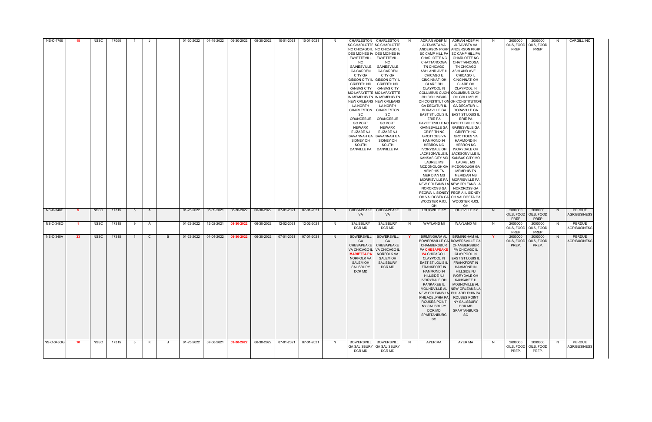| NS-C-1700         | -18             | <b>NSSC</b> | 17050          |                |              |   | 01-20-2022 | 01-19-2022 | 09-30-2022 | 09-30-2022 | 10-01-2021 | 10-01-2021 | N. | NC.<br><b>GAINESVILLE</b><br><b>GA GARDEN</b><br>CITY GA<br><b>GIBSON CITY IL</b><br><b>GRIFFITH NC</b><br><b>KANSAS CITY</b><br>LA NORTH<br>CHARLESTON<br><b>SC</b><br>ORANGEBUR<br><b>SC PORT</b><br>NEWARK<br><b>ELIZABE NJ</b><br>SAVANNAH GA<br>SIDNEY OH<br>SOUTH<br><b>DANVILLE PA</b> | CHARLESTON   CHARLESTON<br>SC CHARLOTTE SC CHARLOTTE<br>NC CHICAGO IL NC CHICAGO IL<br>DES MOINES IA DES MOINES IA<br>FAYETTEVILL FAYETTEVILL<br>NC.<br><b>GAINESVILLE</b><br><b>GA GARDEN</b><br>CITY GA<br><b>GIBSON CITY IL</b><br><b>GRIFFITH NC</b><br><b>KANSAS CITY</b><br>MO LAFAYETTE MO LAFAYETTE<br>IN MEMPHIS TN IN MEMPHIS TN<br>NEW ORLEANS NEW ORLEANS<br>LA NORTH<br>CHARLESTON<br>SC.<br>ORANGEBUR<br><b>SC PORT</b><br><b>NEWARK</b><br><b>ELIZABE NJ</b><br>SAVANNAH GA<br>SIDNEY OH<br>SOUTH<br><b>DANVILLE PA</b> | N.           | ADRIAN ADBF MI<br>ALTAVISTA VA<br>CHARLOTTE NC<br><b>CHATTANOOGA</b><br>TN CHICAGO<br>ASHLAND AVE IL<br><b>CHICAGO IL</b><br><b>CINCINNATI OH</b><br>CLARE OH<br><b>CLAYPOOL IN</b><br>COLUMBUS CUOH COLUMBUS CUOH<br>OH COLUMBUS<br>OH CONSTITUTION OH CONSTITUTION<br><b>GA DECATUR IL</b><br><b>DORAVILLE GA</b><br>EAST ST LOUIS IL<br>ERIE PA<br><b>GAINESVILLE GA</b><br><b>GRIFFITH NC</b><br><b>GROTTOES VA</b><br><b>HAMMOND IN</b><br><b>HEBRON NC</b><br><b>IVORYDALE OH</b><br><b>JACKSONVILLE IL</b><br><b>LAUREL MS</b><br><b>MEMPHIS TN</b><br>MERIDIAN MS<br>NEW ORLEANS LA NEW ORLEANS LA<br>NORCROSS GA<br><b>WOOSTER RJCL</b><br>OH | ADRIAN ADBF MI<br>ALTAVISTA VA<br>ANDERSON PKHP ANDERSON PKHP<br>SC CAMP HILL PA SC CAMP HILL PA<br><b>CHARLOTTE NC</b><br><b>CHATTANOOGA</b><br>TN CHICAGO<br>ASHLAND AVE IL<br><b>CHICAGO IL</b><br><b>CINCINNATI OH</b><br><b>CLARE OH</b><br><b>CLAYPOOL IN</b><br>OH COLUMBUS<br><b>GA DECATUR IL</b><br>DORAVILLE GA<br>. EAST ST LOUIS IL<br>ERIE PA<br><b>FAYETTEVILLE NC FAYETTEVILLE NC</b><br><b>GAINESVILLE GA</b><br><b>GRIFFITH NC</b><br><b>GROTTOES VA</b><br><b>HAMMOND IN</b><br><b>HEBRON NC</b><br><b>IVORYDALE OH</b><br>JACKSONVILLE IL<br>KANSAS CITY MO   KANSAS CITY MO<br><b>LAUREL MS</b><br>MCDONOUGH GA   MCDONOUGH GA<br><b>MEMPHIS TN</b><br><b>MERIDIAN MS</b><br>MORRISVILLE PA   MORRISVILLE PA<br>NORCROSS GA<br>PEORIA IL SIDNEY PEORIA IL SIDNEY<br>OH VALDOSTA GA   OH VALDOSTA GA<br><b>WOOSTER RJCL</b><br>OH | -N       | 2000000<br>OILS, FOOD<br>PREP  | 2000000<br>OILS, FOOD<br>PREP   | N. | <b>CARGILL INC</b>                              |
|-------------------|-----------------|-------------|----------------|----------------|--------------|---|------------|------------|------------|------------|------------|------------|----|-----------------------------------------------------------------------------------------------------------------------------------------------------------------------------------------------------------------------------------------------------------------------------------------------|----------------------------------------------------------------------------------------------------------------------------------------------------------------------------------------------------------------------------------------------------------------------------------------------------------------------------------------------------------------------------------------------------------------------------------------------------------------------------------------------------------------------------------------|--------------|--------------------------------------------------------------------------------------------------------------------------------------------------------------------------------------------------------------------------------------------------------------------------------------------------------------------------------------------------------------------------------------------------------------------------------------------------------------------------------------------------------------------------------------------------------------------------------------------------------------------------------------------------------|-------------------------------------------------------------------------------------------------------------------------------------------------------------------------------------------------------------------------------------------------------------------------------------------------------------------------------------------------------------------------------------------------------------------------------------------------------------------------------------------------------------------------------------------------------------------------------------------------------------------------------------------------------------------------------------------------------------------------------------------------------------------------------------------------------------------------------------------------------|----------|--------------------------------|---------------------------------|----|-------------------------------------------------|
| <b>NS-C-348E</b>  | -5              | NSSC        | 17315          | 5 <sup>5</sup> | A            |   | 01-23-2022 | 08-09-2021 | 06-30-2022 | 06-30-2022 | 07-01-2021 | 07-01-2021 | N. | CHESAPEAKE<br>VA.                                                                                                                                                                                                                                                                             | <b>CHESAPEAKE</b><br>VA                                                                                                                                                                                                                                                                                                                                                                                                                                                                                                                | N            | <b>LOUISVILLE KY</b>                                                                                                                                                                                                                                                                                                                                                                                                                                                                                                                                                                                                                                   | <b>LOUISVILLE KY</b>                                                                                                                                                                                                                                                                                                                                                                                                                                                                                                                                                                                                                                                                                                                                                                                                                                  | N        | 2000000<br>OILS, FOOD<br>PREP  | 2000000<br>OILS, FOOD<br>PREP   | N  | PERDUE<br><b>AGRIBUSINESS</b>                   |
| NS-C-3480         | $\sim$ 1 $\sim$ |             | NSSC 17315 9 A |                |              |   |            |            |            |            |            |            |    | DCR MD                                                                                                                                                                                                                                                                                        | DCR MD                                                                                                                                                                                                                                                                                                                                                                                                                                                                                                                                 |              | N SALISBURY SALISBURY N WAYLAND MI WAYLAND MI                                                                                                                                                                                                                                                                                                                                                                                                                                                                                                                                                                                                          |                                                                                                                                                                                                                                                                                                                                                                                                                                                                                                                                                                                                                                                                                                                                                                                                                                                       | N        | PREP                           | OILS, FOOD   OILS, FOOD<br>PREP |    | 2000000 2000000 N PERDUE<br><b>AGRIBUSINESS</b> |
| <b>NS-C-348A</b>  | 33 <sup>°</sup> | NSSC        | 17315          | $\overline{1}$ | $\mathsf{C}$ | B | 01-23-2022 | 01-04-2022 | 09-30-2022 | 06-30-2022 | 07-01-2021 | 07-01-2021 | N  | <b>BOWERSVILL</b><br>GA<br>VA CHICAGO IL<br><b>MARIETTA PA</b><br>NORFOLK VA<br><b>SALEM OH</b><br>SALISBURY<br>DCR MD                                                                                                                                                                        | <b>BOWERSVILL</b><br><b>GA</b><br>CHESAPEAKE   CHESAPEAKE<br>VA CHICAGO IL<br>NORFOLK VA<br>SALEM OH<br><b>SALISBURY</b><br>DCR MD                                                                                                                                                                                                                                                                                                                                                                                                     | $\mathbf{Y}$ | <b>BIRMINGHAM AL</b><br>CHAMBERSBUR<br>PA CHESAPEAKE<br><b>VA CHICAGO IL</b><br><b>CLAYPOOL IN</b><br><b>EAST ST LOUIS IL</b><br><b>FRANKFORT IN</b><br><b>HAMMOND IN</b><br><b>HILLSIDE NJ</b><br><b>IVORYDALE OH</b><br>KANKAKEE IL<br>PHILADELPHIA PA   ROUSES POINT<br><b>ROUSES POINT</b><br>NY SALISBURY<br>DCR MD<br>SPARTANBURG<br><b>SC</b>                                                                                                                                                                                                                                                                                                   | BIRMINGHAM AL<br>BOWERSVILLE GA BOWERSVILLE GA<br>CHAMBERSBUR<br>PA CHICAGO IL<br><b>CLAYPOOL IN</b><br><b>EAST ST LOUIS IL</b><br><b>FRANKFORT IN</b><br><b>HAMMOND IN</b><br><b>HILLSIDE NJ</b><br><b>IVORYDALE OH</b><br>KANKAKEE IL<br>MOUNDVILLE AL<br>MOUNDVILLE AL NEW ORLEANS LA<br>NEW ORLEANS LA PHILADELPHIA PA<br>NY SALISBURY<br>DCR MD<br>SPARTANBURG<br><b>SC</b>                                                                                                                                                                                                                                                                                                                                                                                                                                                                      | <b>Y</b> | 2000000<br>OILS, FOOD<br>PREP. | 2000000<br>OILS, FOOD<br>PREP.  | N, | PERDUE<br><b>AGRIBUSINESS</b>                   |
| <b>NS-C-348GG</b> | 10 <sup>1</sup> | NSSC        | 17315          | - 3            | K            | J | 01-23-2022 | 07-08-2021 | 09-30-2022 | 06-30-2022 | 07-01-2021 | 07-01-2021 | N. | <b>BOWERSVILL</b><br>DCR MD                                                                                                                                                                                                                                                                   | <b>BOWERSVILL</b><br>GA SALISBURY GA SALISBURY<br>DCR MD                                                                                                                                                                                                                                                                                                                                                                                                                                                                               | N.           | AYER MA                                                                                                                                                                                                                                                                                                                                                                                                                                                                                                                                                                                                                                                | AYER MA                                                                                                                                                                                                                                                                                                                                                                                                                                                                                                                                                                                                                                                                                                                                                                                                                                               | N        | 2000000<br>OILS, FOOD<br>PREP. | 2000000<br>OILS, FOOD<br>PREP.  | N. | PERDUE<br><b>AGRIBUSINESS</b>                   |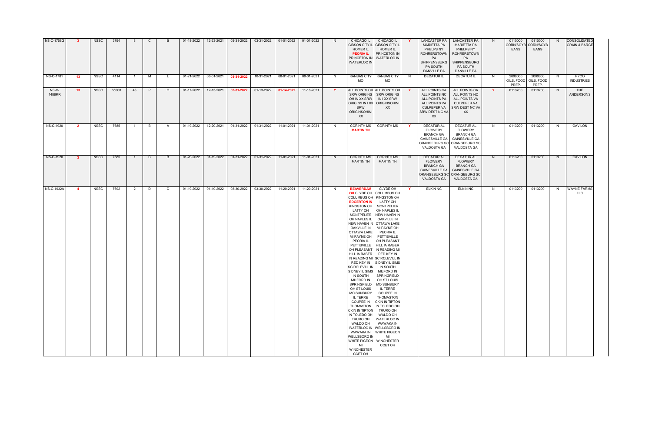| <b>NS-C-1758G</b> |                         | <b>NSSC</b> | 3794  |                | C              |              | 01-18-2022 | 12-23-2021 | 03-31-2022 | 03-31-2022 | 01-01-2022 | 01-01-2022 | N.           | <b>CHICAGO IL</b><br><b>GIBSON CITY IL</b><br><b>HOMER IL</b><br><b>PEORIA IL</b><br>PRINCETON IN<br><b>WATERLOO IN</b>                                                                                                                                                                                                                                                                                                                                                                                                                                                                         | CHICAGO IL<br><b>GIBSON CITY II</b><br><b>HOMER IL</b><br><b>PRINCETON IN</b><br><b>WATERLOO IN</b>                                                                                                                                                                                                                                                                                                                                                                                                                                                                                                                                                                |              | <b>LANCASTER PA</b><br><b>MARIETTA PA</b><br>PHELPS NY<br><b>ROHRERSTOWN</b><br><b>PA</b><br><b>SHIPPENSBURG</b><br>PA SOUTH<br><b>DANVILLE PA</b> | <b>LANCASTER PA</b><br><b>MARIETTA PA</b><br>PHELPS NY<br><b>ROHRERSTOWN</b><br>PA<br>SHIPPENSBURG<br>PA SOUTH<br><b>DANVILLE PA</b> | N.           | 0110000<br>CORN/SOYB<br><b>EANS</b> | 0110000<br>CORN/SOYB<br>EANS   | N. | CONSOLIDATED<br><b>GRAIN &amp; BARGE</b> |
|-------------------|-------------------------|-------------|-------|----------------|----------------|--------------|------------|------------|------------|------------|------------|------------|--------------|-------------------------------------------------------------------------------------------------------------------------------------------------------------------------------------------------------------------------------------------------------------------------------------------------------------------------------------------------------------------------------------------------------------------------------------------------------------------------------------------------------------------------------------------------------------------------------------------------|--------------------------------------------------------------------------------------------------------------------------------------------------------------------------------------------------------------------------------------------------------------------------------------------------------------------------------------------------------------------------------------------------------------------------------------------------------------------------------------------------------------------------------------------------------------------------------------------------------------------------------------------------------------------|--------------|----------------------------------------------------------------------------------------------------------------------------------------------------|--------------------------------------------------------------------------------------------------------------------------------------|--------------|-------------------------------------|--------------------------------|----|------------------------------------------|
| NS-C-1781         | 13                      | NSSC        | 4114  | $\overline{1}$ | M              | L.           | 01-21-2022 | 08-01-2021 | 03-31-2022 | 10-31-2021 | 08-01-2021 | 08-01-2021 | N.           | <b>KANSAS CITY</b><br>MO                                                                                                                                                                                                                                                                                                                                                                                                                                                                                                                                                                        | <b>KANSAS CITY</b><br>MO                                                                                                                                                                                                                                                                                                                                                                                                                                                                                                                                                                                                                                           | N            | <b>DECATUR IL</b>                                                                                                                                  | <b>DECATUR IL</b>                                                                                                                    | N            | 2000000<br>OILS, FOOD<br>PREP.      | 2000000<br>OILS, FOOD<br>PREP. | N  | PYCO<br><b>INDUSTRIES</b>                |
| NS-C-<br>1488RR   | 13                      | <b>NSSC</b> | 65008 | -48            | P              | $\circ$      | 01-17-2022 | 12-13-2021 | 05-31-2022 | 01-13-2022 | 01-14-2022 | 11-16-2021 | $\mathbf{Y}$ | <b>SRW ORIGINS</b><br>OH IN XX SRW<br>ORIGINS IN I XX ORIGINSOHINI<br>SRW<br><b>ORIGINSOHINI</b><br>XX                                                                                                                                                                                                                                                                                                                                                                                                                                                                                          | ALL POINTS OH ALL POINTS OH<br><b>SRW ORIGINS</b><br>IN I XX SRW<br>XX.                                                                                                                                                                                                                                                                                                                                                                                                                                                                                                                                                                                            | Y            | ALL POINTS GA<br>ALL POINTS NC<br>ALL POINTS PA<br>ALL POINTS VA<br><b>CULPEPER VA</b><br>SRW DEST NC VA<br>XX                                     | ALL POINTS GA<br>ALL POINTS NC<br>ALL POINTS VA<br>CULPEPER VA<br>SRW DEST NC VA<br>XX                                               | $\mathbf{v}$ | 0113700                             | 0113700                        | N  | THE<br>ANDERSONS                         |
| NS-C-1920         | $\overline{\mathbf{2}}$ | NSSC        | 7685  | $\overline{1}$ | $\overline{B}$ | A            | 01-19-2022 | 12-20-2021 | 01-31-2022 | 01-31-2022 | 11-01-2021 | 11-01-2021 | N.           | <b>CORINTH MS</b><br><b>MARTIN TN</b>                                                                                                                                                                                                                                                                                                                                                                                                                                                                                                                                                           | <b>CORINTH MS</b>                                                                                                                                                                                                                                                                                                                                                                                                                                                                                                                                                                                                                                                  | $\mathbf{Y}$ | <b>DECATUR AL</b><br><b>FLOWERY</b><br><b>BRANCH GA</b><br><b>GAINESVILLE GA</b><br>VALDOSTA GA                                                    | <b>DECATURAL</b><br><b>FLOWERY</b><br><b>BRANCH GA</b><br><b>GAINESVILLE GA</b><br>ORANGEBURG SC ORANGEBURG SC<br>VALDOSTA GA        | N            | 0113200                             | 0113200                        | N  | GAVILON                                  |
| NS-C-1920         | $\mathbf{3}$            | NSSC        | 7685  | $\overline{1}$ | $\mathsf{C}$   | B            | 01-20-2022 | 01-19-2022 | 01-31-2022 | 01-31-2022 | 11-01-2021 | 11-01-2021 | N,           | <b>CORINTH MS</b><br><b>MARTIN TN</b>                                                                                                                                                                                                                                                                                                                                                                                                                                                                                                                                                           | <b>CORINTH MS</b><br><b>MARTIN TN</b>                                                                                                                                                                                                                                                                                                                                                                                                                                                                                                                                                                                                                              | N.           | <b>DECATUR AL</b><br><b>FLOWERY</b><br><b>BRANCH GA</b><br><b>GAINESVILLE GA</b><br>ORANGEBURG SC<br><b>VALDOSTA GA</b>                            | <b>DECATUR AL</b><br><b>FLOWERY</b><br><b>BRANCH GA</b><br><b>GAINESVILLE GA</b><br>ORANGEBURG SC<br>VALDOSTA GA                     | N.           | 0113200                             | 0113200                        | N  | <b>GAVILON</b>                           |
| <b>NS-C-1932A</b> | $\overline{4}$          | NSSC        | 7692  | 2              | D              | $\mathbf{C}$ | 01-19-2022 | 01-10-2022 | 03-30-2022 | 03-30-2022 | 11-20-2021 | 11-20-2021 | N.           | <b>BEAVERDAM</b><br>OH CLYDE OH<br><b>COLUMBUS OH</b><br><b>EDGERTON IN</b><br>KINGSTON OH<br>LATTY OH<br><b>MONTPELIER</b><br><b>OAKVILLE IN</b><br>OTTAWA LAKE<br>MI PAYNE OH<br>PEORIA IL<br>PETTISVILLE<br>OH PLEASANT<br>HILL IA RABER<br>RED KEY IN<br><b>SCIRCLEVILL IN</b><br>SIDNEY IL SIMS<br>IN SOUTH<br><b>MILFORD IN</b><br>SPRINGFIELD<br>OH ST LOUIS<br><b>MO SUNBURY</b><br>IL TERRE<br><b>COUPEE IN</b><br>THOMASTON<br>CKIN IN TIPTON<br>IN TOLEDO OH<br>TRURO OH<br>WALDO OH<br>WAWAKA IN<br><b>WELLSBORO IN</b><br>WHITE PIGEON   WINCHESTER<br>MI<br>WINCHESTER<br>CCET OH | CLYDE OH<br><b>COLUMBUS OH</b><br>KINGSTON OH<br>LATTY OH<br><b>MONTPELIER</b><br>OH NAPLES IL<br><b>NEW HAVEN IN</b><br>OH NAPLES IL   OAKVILLE IN<br>NEW HAVEN IN OTTAWA LAKE<br>MI PAYNE OH<br>PEORIA IL<br>PETTISVILLE<br>OH PLEASANT<br><b>HILL IA RABER</b><br>IN READING MI<br>RED KEY IN<br>IN READING MI SCIRCLEVILL IN<br>SIDNEY IL SIMS<br>IN SOUTH<br><b>MILFORD IN</b><br>SPRINGFIELD<br>OH ST LOUIS<br><b>MO SUNBURY</b><br><b>IL TERRE</b><br><b>COUPEE IN</b><br>THOMASTON<br><b>CKIN IN TIPTON</b><br>IN TOLEDO OH<br>TRURO OH<br>WALDO OH<br><b>WATERLOO IN</b><br>WAWAKA IN<br>WATERLOO IN WELLSBORO IN<br><b>WHITE PIGEON</b><br>MI<br>CCET OH | $\mathbf{Y}$ | <b>ELKIN NC</b>                                                                                                                                    | <b>ELKIN NC</b>                                                                                                                      | N            | 0113200                             | 0113200                        | N. | <b>WAYNE FARMS</b><br><b>LLC</b>         |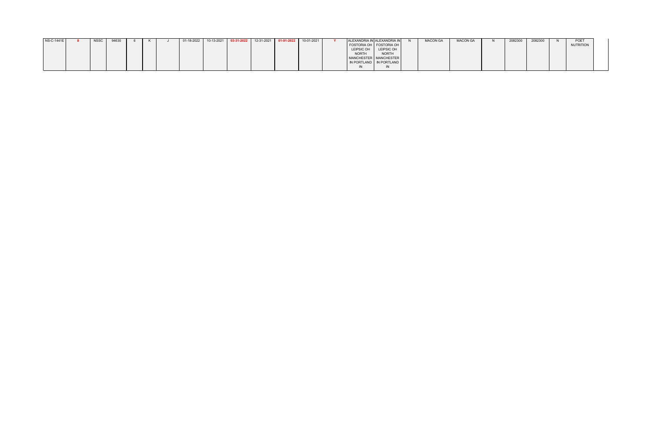| NS-C-1441E | <b>NSSC</b> | 94630 |  | $01-18-2022$ 10-13-2021 03-31-2022 |  | 12-31-2021 01-01-2022 | 10-01-2021 |                       | ALEXANDRIA IN ALEXANDRIA IN | <b>MACON GA</b> | <b>MACON GA</b> | 2082300 | 2082300 | <b>POET</b> |
|------------|-------------|-------|--|------------------------------------|--|-----------------------|------------|-----------------------|-----------------------------|-----------------|-----------------|---------|---------|-------------|
|            |             |       |  |                                    |  |                       |            |                       | FOSTORIA OH   FOSTORIA OH   |                 |                 |         |         | NUTRITION   |
|            |             |       |  |                                    |  |                       |            | LEIPSIC OH LEIPSIC OH |                             |                 |                 |         |         |             |
|            |             |       |  |                                    |  |                       |            | <b>NORTH</b>          | NORTH                       |                 |                 |         |         |             |
|            |             |       |  |                                    |  |                       |            |                       | MANCHESTER   MANCHESTER     |                 |                 |         |         |             |
|            |             |       |  |                                    |  |                       |            |                       | IN PORTLAND IN PORTLAND     |                 |                 |         |         |             |
|            |             |       |  |                                    |  |                       |            |                       |                             |                 |                 |         |         |             |